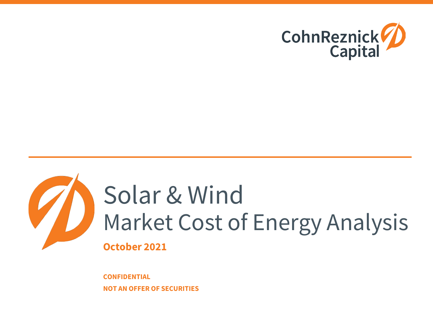



## Solar & Wind Market Cost of Energy Analysis **October 2021**

**CONFIDENTIAL NOT AN OFFER OF SECURITIES**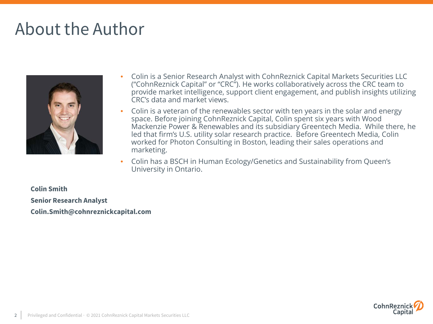### About the Author



- Colin is a Senior Research Analyst with CohnReznick Capital Markets Securities LLC ("CohnReznick Capital" or "CRC"). He works collaboratively across the CRC team to provide market intelligence, support client engagement, and publish insights utilizing CRC's data and market views.
- Colin is a veteran of the renewables sector with ten years in the solar and energy space. Before joining CohnReznick Capital, Colin spent six years with Wood Mackenzie Power & Renewables and its subsidiary Greentech Media. While there, he led that firm's U.S. utility solar research practice. Before Greentech Media, Colin worked for Photon Consulting in Boston, leading their sales operations and marketing.
- Colin has a BSCH in Human Ecology/Genetics and Sustainability from Queen's University in Ontario.

**Colin Smith Senior Research Analyst Colin.Smith@cohnreznickcapital.com**

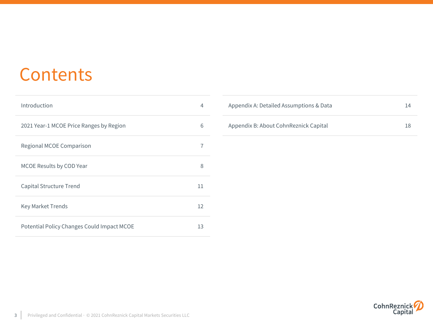### **Contents**

| Introduction                               | 4                 |
|--------------------------------------------|-------------------|
| 2021 Year-1 MCOE Price Ranges by Region    | 6                 |
| Regional MCOE Comparison                   | 7                 |
| MCOE Results by COD Year                   | 8                 |
| Capital Structure Trend                    | 11                |
| <b>Key Market Trends</b>                   | $12 \overline{ }$ |
| Potential Policy Changes Could Impact MCOE | 13                |

| Appendix A: Detailed Assumptions & Data | 14 |
|-----------------------------------------|----|
| Appendix B: About CohnReznick Capital   | 18 |

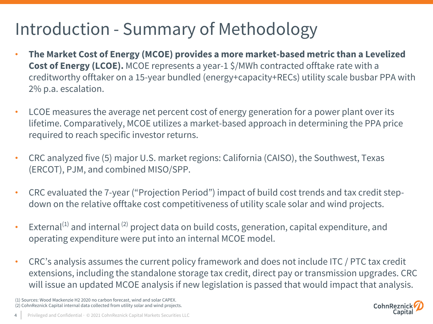### Introduction - Summary of Methodology

- **The Market Cost of Energy (MCOE) provides a more market-based metric than a Levelized Cost of Energy (LCOE).** MCOE represents a year-1 \$/MWh contracted offtake rate with a creditworthy offtaker on a 15-year bundled (energy+capacity+RECs) utility scale busbar PPA with 2% p.a. escalation.
- LCOE measures the average net percent cost of energy generation for a power plant over its lifetime. Comparatively, MCOE utilizes a market-based approach in determining the PPA price required to reach specific investor returns.
- CRC analyzed five (5) major U.S. market regions: California (CAISO), the Southwest, Texas (ERCOT), PJM, and combined MISO/SPP.
- CRC evaluated the 7-year ("Projection Period") impact of build cost trends and tax credit stepdown on the relative offtake cost competitiveness of utility scale solar and wind projects.
- External $^{(1)}$  and internal  $^{(2)}$  project data on build costs, generation, capital expenditure, and operating expenditure were put into an internal MCOE model.
- CRC's analysis assumes the current policy framework and does not include ITC / PTC tax credit extensions, including the standalone storage tax credit, direct pay or transmission upgrades. CRC will issue an updated MCOE analysis if new legislation is passed that would impact that analysis.

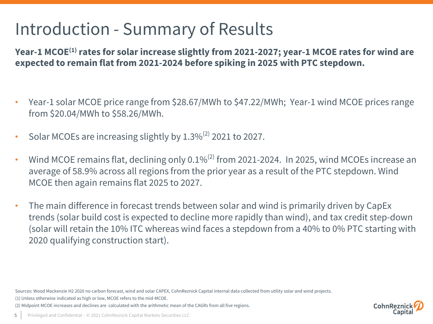### Introduction - Summary of Results

Year-1 MCOE<sup>(1)</sup> rates for solar increase slightly from 2021-2027; year-1 MCOE rates for wind are **expected to remain flat from 2021-2024 before spiking in 2025 with PTC stepdown.**

- Year-1 solar MCOE price range from \$28.67/MWh to \$47.22/MWh; Year-1 wind MCOE prices range from \$20.04/MWh to \$58.26/MWh.
- Solar MCOEs are increasing slightly by  $1.3\%^{(2)}$  2021 to 2027.
- Wind MCOE remains flat, declining only  $0.1\%^{(2)}$  from 2021-2024. In 2025, wind MCOEs increase an average of 58.9% across all regions from the prior year as a result of the PTC stepdown. Wind MCOE then again remains flat 2025 to 2027.
- The main difference in forecast trends between solar and wind is primarily driven by CapEx trends (solar build cost is expected to decline more rapidly than wind), and tax credit step-down (solar will retain the 10% ITC whereas wind faces a stepdown from a 40% to 0% PTC starting with 2020 qualifying construction start).

Sources: Wood Mackenzie H2 2020 no carbon forecast, wind and solar CAPEX, CohnReznick Capital internal data collected from utility solar and wind projects.

(1) Unless otherwise indicated as high or low, MCOE refers to the mid-MCOE.

(2) Midpoint MCOE increases and declines are calculated with the arithmetic mean of the CAGRs from all five regions.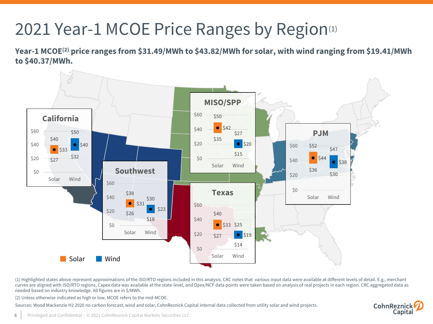### 2021 Year-1 MCOE Price Ranges by Region<sup>(1)</sup>

**Year-1 MCOE(2) price ranges from \$31.49/MWh to \$43.82/MWh for solar, with wind ranging from \$19.41/MWh to \$40.37/MWh.** 



(1) Highlighted states above represent approximations of the ISO/RTO regions included in this analysis. CRC notes that various input data were available at different levels of detail. E.g., merchant curves are aligned with ISO/RTO regions, Capex data was available at the state-level, and Opex/NCF data points were taken based on analysis of real projects in each region. CRC aggregated data as needed based on industry knowledge. All figures are in \$/MWh.

(2) Unless otherwise indicated as high or low, MCOE refers to the mid-MCOE.

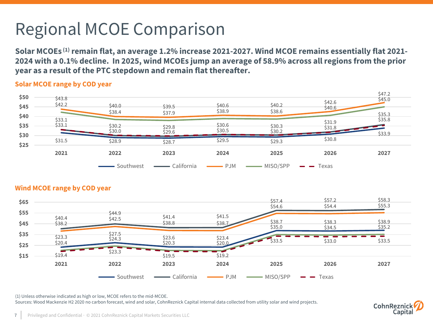## Regional MCOE Comparison

**Solar MCOEs (1)remain flat, an average 1.2% increase 2021-2027. Wind MCOE remains essentially flat 2021- 2024 with a 0.1% decline. In 2025, wind MCOEs jump an average of 58.9% across all regions from the prior year as a result of the PTC stepdown and remain flat thereafter.**

#### **Solar MCOE range by COD year**





#### **Wind MCOE range by COD year**

(1) Unless otherwise indicated as high or low, MCOE refers to the mid-MCOE.

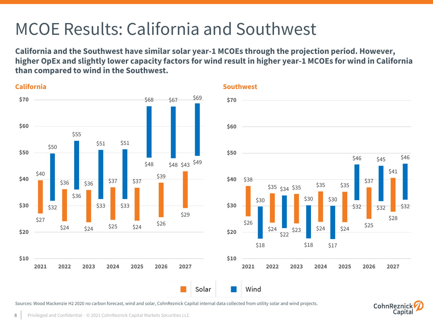### MCOE Results: California and Southwest

**California and the Southwest have similar solar year-1 MCOEs through the projection period. However, higher OpEx and slightly lower capacity factors for wind result in higher year-1 MCOEs for wind in California than compared to wind in the Southwest.** 



CohnReznic

Capita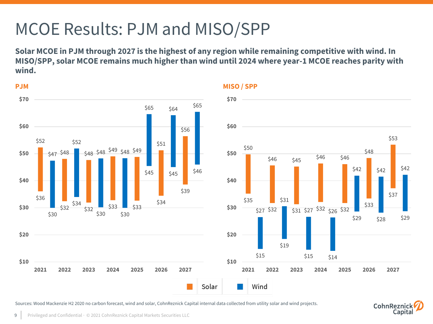### MCOE Results: PJM and MISO/SPP

**Solar MCOE in PJM through 2027 is the highest of any region while remaining competitive with wind. In MISO/SPP, solar MCOE remains much higher than wind until 2024 where year-1 MCOE reaches parity with wind.** 



**PJM MISO / SPP**

Sources: Wood Mackenzie H2 2020 no carbon forecast, wind and solar, CohnReznick Capital internal data collected from utility solar and wind projects.



\$37

\$53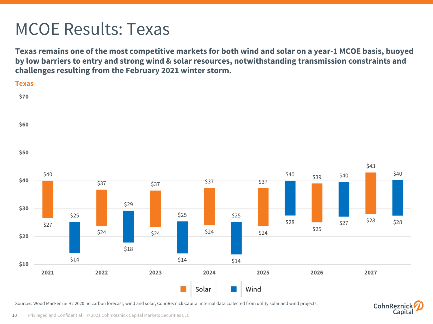### MCOE Results: Texas

**Texas remains one of the most competitive markets for both wind and solar on a year-1 MCOE basis, buoyed by low barriers to entry and strong wind & solar resources, notwithstanding transmission constraints and challenges resulting from the February 2021 winter storm.** 



CohnRezni

Capit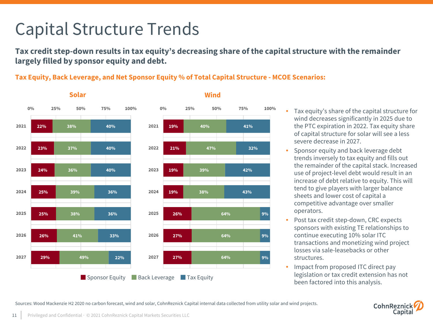### Capital Structure Trends

**Tax credit step-down results in tax equity's decreasing share of the capital structure with the remainder largely filled by sponsor equity and debt.** 

#### **Tax Equity, Back Leverage, and Net Sponsor Equity % of Total Capital Structure - MCOE Scenarios:**



#### • Tax equity's share of the capital structure for wind decreases significantly in 2025 due to the PTC expiration in 2022. Tax equity share of capital structure for solar will see a less severe decrease in 2027.

- Sponsor equity and back leverage debt trends inversely to tax equity and fills out the remainder of the capital stack. Increased use of project-level debt would result in an increase of debt relative to equity. This will tend to give players with larger balance sheets and lower cost of capital a competitive advantage over smaller operators.
- Post tax credit step-down, CRC expects sponsors with existing TE relationships to continue executing 10% solar ITC transactions and monetizing wind project losses via sale-leasebacks or other structures.
- Impact from proposed ITC direct pay legislation or tax credit extension has not been factored into this analysis.

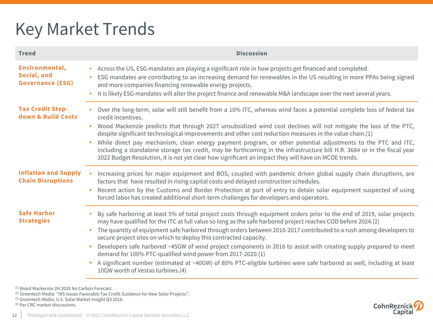### Key Market Trends

| <b>Trend</b>                                             | <b>Discussion</b>                                                                                                                                                                                                                                                                                                                                                                                                                                                                                                                                                                                                                                                                                                                                                                    |
|----------------------------------------------------------|--------------------------------------------------------------------------------------------------------------------------------------------------------------------------------------------------------------------------------------------------------------------------------------------------------------------------------------------------------------------------------------------------------------------------------------------------------------------------------------------------------------------------------------------------------------------------------------------------------------------------------------------------------------------------------------------------------------------------------------------------------------------------------------|
| Environmental,<br>Social, and<br><b>Governance (ESG)</b> | Across the US, ESG mandates are playing a significant role in how projects get financed and completed.<br>$\bullet$<br>ESG mandates are contributing to an increasing demand for renewables in the US resulting in more PPAs being signed<br>and more companies financing renewable energy projects.<br>It is likely ESG mandates will alter the project finance and renewable M&A landscape over the next several years.                                                                                                                                                                                                                                                                                                                                                            |
| <b>Tax Credit Step-</b><br>down & Build Costs            | Over the long-term, solar will still benefit from a 10% ITC, whereas wind faces a potential complete loss of federal tax<br>credit incentives.<br>Wood Mackenzie predicts that through 2027 unsubsidized wind cost declines will not mitigate the loss of the PTC,<br>despite significant technological improvements and other cost reduction measures in the value chain.(1)<br>While direct pay mechanism, clean energy payment program, or other potential adjustments to the PTC and ITC,<br>including a standalone storage tax credit, may be forthcoming in the infrastructure bill H.R. 3684 or in the fiscal year<br>2022 Budget Resolution, it is not yet clear how significant an impact they will have on MCOE trends.                                                    |
| <b>Inflation and Supply</b><br><b>Chain Disruptions</b>  | Increasing prices for major equipment and BOS, coupled with pandemic driven global supply chain disruptions, are<br>factors that have resulted in rising capital costs and delayed construction schedules.<br>Recent action by the Customs and Border Protection at port of entry to detain solar equipment suspected of using<br>forced labor has created additional short-term challenges for developers and operators.                                                                                                                                                                                                                                                                                                                                                            |
| <b>Safe Harbor</b><br><b>Strategies</b>                  | By safe harboring at least 5% of total project costs through equipment orders prior to the end of 2019, solar projects<br>may have qualified for the ITC at full value so long as the safe harbored project reaches COD before 2024.(2)<br>The quantity of equipment safe harbored through orders between 2016-2017 contributed to a rush among developers to<br>secure project sites on which to deploy this contracted capacity.<br>Developers safe harbored ~45GW of wind project components in 2016 to assist with creating supply prepared to meet<br>demand for 100% PTC-qualified wind power from 2017-2020.(1)<br>A significant number (estimated at ~40GW) of 80% PTC-eligible turbines were safe harbored as well, including at least<br>10GW worth of Vestas turbines.(4) |

<sup>(1)</sup> Wood Mackenzie 2H 2020 No Carbon Forecast.

(2) Greentech Media: "IRS Issues Favorable Tax Credit Guidance for New Solar Projects". <sup>(3)</sup> Greentech Media: U.S. Solar Market Insight Q3 2018.

(4) Per CRC market discussions.

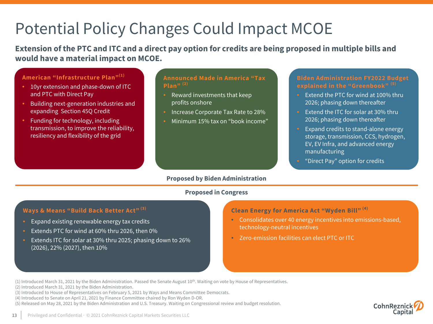### Potential Policy Changes Could Impact MCOE

**Extension of the PTC and ITC and a direct pay option for credits are being proposed in multiple bills and would have a material impact on MCOE.**

#### **American "Infrastructure Plan"(1)**

- 10yr extension and phase-down of ITC and PTC with Direct Pay
- Building next-generation industries and expanding Section 45Q Credit
- Funding for technology, including transmission, to improve the reliability, resiliency and flexibility of the grid

#### **Announced Made in America "Tax Plan" (2)**

- Reward investments that keep profits onshore
- Increase Corporate Tax Rate to 28%
- Minimum 15% tax on "book income"

#### **Biden Administration FY2022 Budget explained in the "Greenbook" (5)**

- Extend the PTC for wind at 100% thru 2026; phasing down thereafter
- Extend the ITC for solar at 30% thru 2026; phasing down thereafter
- Expand credits to stand-alone energy storage, transmission, CCS, hydrogen, EV, EV Infra, and advanced energy manufacturing
- "Direct Pay" option for credits

#### **Proposed by Biden Administration**

#### **Proposed in Congress**

#### **Ways & Means "Build Back Better Act" (3)**

- Expand existing renewable energy tax credits
- Extends PTC for wind at 60% thru 2026, then 0%
- Extends ITC for solar at 30% thru 2025; phasing down to 26% (2026), 22% (2027), then 10%

#### **Clean Energy for America Act "Wyden Bill" (4)**

- Consolidates over 40 energy incentives into emissions-based, technology-neutral incentives
- Zero-emission facilities can elect PTC or ITC

 $(1)$  Introduced March 31, 2021 by the Biden Administration. Passed the Senate August  $10^{th}$ . Waiting on vote by House of Representatives.

- (2) Introduced March 31, 2021 by the Biden Administration.
- (3) Introduced to House of Representatives on February 5, 2021 by Ways and Means Committee Democrats.
- (4) Introduced to Senate on April 21, 2021 by Finance Committee chaired by Ron Wyden D-OR.
- (5) Released on May 28, 2021 by the Biden Administration and U.S. Treasury. Waiting on Congressional review and budget resolution.

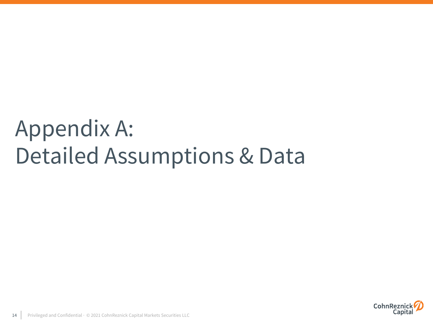# Appendix A: Detailed Assumptions & Data

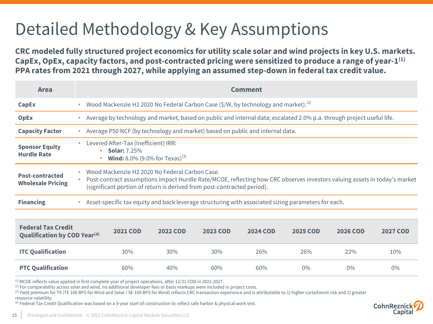### Detailed Methodology & Key Assumptions

**CRC modeled fully structured project economics for utility scale solar and wind projects in key U.S. markets. CapEx, OpEx, capacity factors, and post-contracted pricing were sensitized to produce a range of year-1(1) PPA rates from 2021 through 2027, while applying an assumed step-down in federal tax credit value.**

| <b>Area</b>                                                      |  | Comment                                                                                                                                                                                                                                                |                                                                                                                       |          |                 |                 |                 |                 |                 |  |
|------------------------------------------------------------------|--|--------------------------------------------------------------------------------------------------------------------------------------------------------------------------------------------------------------------------------------------------------|-----------------------------------------------------------------------------------------------------------------------|----------|-----------------|-----------------|-----------------|-----------------|-----------------|--|
| <b>CapEx</b>                                                     |  |                                                                                                                                                                                                                                                        | Wood Mackenzie H2 2020 No Federal Carbon Case (\$/W, by technology and market). <sup>(2)</sup>                        |          |                 |                 |                 |                 |                 |  |
| <b>OpEx</b>                                                      |  |                                                                                                                                                                                                                                                        | Average by technology and market, based on public and internal data; escalated 2.0% p.a. through project useful life. |          |                 |                 |                 |                 |                 |  |
| <b>Capacity Factor</b>                                           |  |                                                                                                                                                                                                                                                        | Average P50 NCF (by technology and market) based on public and internal data.                                         |          |                 |                 |                 |                 |                 |  |
| <b>Sponsor Equity</b><br><b>Hurdle Rate</b>                      |  | Levered After-Tax (Inefficient) IRR:<br><b>Solar: 7.25%</b><br><b>Wind:</b> 8.0% (9.0% for Texas) <sup>(3)</sup>                                                                                                                                       |                                                                                                                       |          |                 |                 |                 |                 |                 |  |
| <b>Post-contracted</b><br><b>Wholesale Pricing</b>               |  | Wood Mackenzie H2 2020 No Federal Carbon Case.<br>Post-contract assumptions impact Hurdle Rate/MCOE, reflecting how CRC observes investors valuing assets in today's market<br>(significant portion of return is derived from post-contracted period). |                                                                                                                       |          |                 |                 |                 |                 |                 |  |
| <b>Financing</b>                                                 |  | Asset-specific tax equity and back leverage structuring with associated sizing parameters for each.                                                                                                                                                    |                                                                                                                       |          |                 |                 |                 |                 |                 |  |
|                                                                  |  |                                                                                                                                                                                                                                                        |                                                                                                                       |          |                 |                 |                 |                 |                 |  |
| <b>Federal Tax Credit</b><br><b>Qualification by COD Year(4)</b> |  |                                                                                                                                                                                                                                                        | <b>2021 COD</b>                                                                                                       | 2022 COD | <b>2023 COD</b> | <b>2024 COD</b> | <b>2025 COD</b> | <b>2026 COD</b> | <b>2027 COD</b> |  |
| <b>ITC Qualification</b>                                         |  |                                                                                                                                                                                                                                                        | 30%                                                                                                                   | 30%      | 30%             | 26%             | 26%             | 22%             | 10%             |  |
| <b>PTC Qualification</b>                                         |  |                                                                                                                                                                                                                                                        | 60%                                                                                                                   | 40%      | 60%             | 60%             | $0\%$           | $0\%$           | $0\%$           |  |

(1) MCOE reflects value applied in first complete year of project operations, after 12/31 COD in 2021-2027.

 $(2)$  For comparability across solar and wind, no additional developer fees or basis markups were included in project costs.

(3) Yield premium for TX (TE 100 BPS for Wind and Solar / SE 100 BPS for Wind) reflects CRC transaction experience and is attributable to 1) higher curtailment risk and 2) greater resource volatility.

(4) Federal Tax Credit Qualification was based on a 3-year start of construction to reflect safe harbor & physical work test.

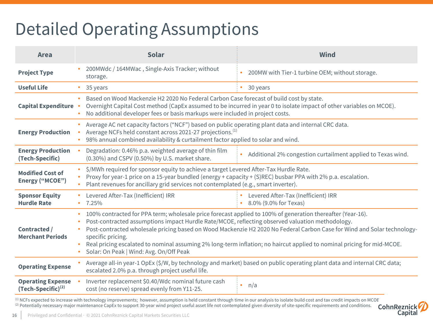### Detailed Operating Assumptions

| <b>Area</b>                                         | <b>Solar</b>                                                                                            | <b>Wind</b>                                                                                                                                                                                                                                                                                                                                                                                                                                                        |  |  |  |  |
|-----------------------------------------------------|---------------------------------------------------------------------------------------------------------|--------------------------------------------------------------------------------------------------------------------------------------------------------------------------------------------------------------------------------------------------------------------------------------------------------------------------------------------------------------------------------------------------------------------------------------------------------------------|--|--|--|--|
| <b>Project Type</b>                                 | 200MWdc / 164MWac, Single-Axis Tracker; without<br>storage.                                             | 200MW with Tier-1 turbine OEM; without storage.                                                                                                                                                                                                                                                                                                                                                                                                                    |  |  |  |  |
| <b>Useful Life</b>                                  | 35 years<br>۰                                                                                           | 30 years                                                                                                                                                                                                                                                                                                                                                                                                                                                           |  |  |  |  |
| <b>Capital Expenditure</b>                          | $\bullet$                                                                                               | Based on Wood Mackenzie H2 2020 No Federal Carbon Case forecast of build cost by state.<br>Overnight Capital Cost method (CapEx assumed to be incurred in year 0 to isolate impact of other variables on MCOE).<br>No additional developer fees or basis markups were included in project costs.                                                                                                                                                                   |  |  |  |  |
| <b>Energy Production</b>                            |                                                                                                         | Average AC net capacity factors ("NCF") based on public operating plant data and internal CRC data.<br>Average NCFs held constant across 2021-27 projections. <sup>(1)</sup><br>98% annual combined availability & curtailment factor applied to solar and wind.                                                                                                                                                                                                   |  |  |  |  |
| <b>Energy Production</b><br>(Tech-Specific)         | Degradation: 0.46% p.a. weighted average of thin film<br>(0.30%) and CSPV (0.50%) by U.S. market share. | Additional 2% congestion curtailment applied to Texas wind.                                                                                                                                                                                                                                                                                                                                                                                                        |  |  |  |  |
| <b>Modified Cost of</b><br>Energy ("MCOE")          |                                                                                                         | \$/MWh required for sponsor equity to achieve a target Levered After-Tax Hurdle Rate.<br>Proxy for year-1 price on a 15-year bundled (energy + capacity + (S)REC) busbar PPA with 2% p.a. escalation.<br>Plant revenues for ancillary grid services not contemplated (e.g., smart inverter).                                                                                                                                                                       |  |  |  |  |
| <b>Sponsor Equity</b><br><b>Hurdle Rate</b>         | Levered After-Tax (Inefficient) IRR<br>7.25%<br>۰                                                       | Levered After-Tax (Inefficient) IRR<br>8.0% (9.0% for Texas)                                                                                                                                                                                                                                                                                                                                                                                                       |  |  |  |  |
| Contracted /<br><b>Merchant Periods</b>             | ۰<br>specific pricing.<br>Solar: On Peak   Wind: Avg. On/Off Peak                                       | 100% contracted for PPA term; wholesale price forecast applied to 100% of generation thereafter (Year-16).<br>Post-contracted assumptions impact Hurdle Rate/MCOE, reflecting observed valuation methodology.<br>Post-contracted wholesale pricing based on Wood Mackenzie H2 2020 No Federal Carbon Case for Wind and Solar technology-<br>Real pricing escalated to nominal assuming 2% long-term inflation; no haircut applied to nominal pricing for mid-MCOE. |  |  |  |  |
| <b>Operating Expense</b>                            | escalated 2.0% p.a. through project useful life.                                                        | Average all-in year-1 OpEx (\$/W, by technology and market) based on public operating plant data and internal CRC data;                                                                                                                                                                                                                                                                                                                                            |  |  |  |  |
| <b>Operating Expense</b><br>$(Tech-Specific)^{(2)}$ | Inverter replacement \$0.40/Wdc nominal future cash<br>cost (no reserve) spread evenly from Y11-25.     | n/a                                                                                                                                                                                                                                                                                                                                                                                                                                                                |  |  |  |  |

(1) NCFs expected to increase with technology improvements; however, assumption is held constant through time in our analysis to isolate build cost and tax credit impacts on MCOF (2) Potentially necessary major maintenance CapEx to support 30-year wind project useful asset life not contemplated given diversity of site-specific requirements and conditions. **CohnReznic** 

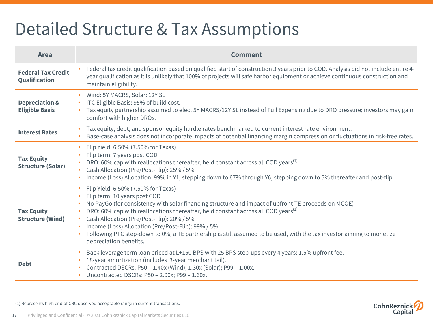### Detailed Structure & Tax Assumptions

| <b>Area</b>                                        | <b>Comment</b>                                                                                                                                                                                                                                                                                                                                                                                                                                                                                                                                 |  |  |  |  |
|----------------------------------------------------|------------------------------------------------------------------------------------------------------------------------------------------------------------------------------------------------------------------------------------------------------------------------------------------------------------------------------------------------------------------------------------------------------------------------------------------------------------------------------------------------------------------------------------------------|--|--|--|--|
| <b>Federal Tax Credit</b><br>Qualification         | Federal tax credit qualification based on qualified start of construction 3 years prior to COD. Analysis did not include entire 4-<br>year qualification as it is unlikely that 100% of projects will safe harbor equipment or achieve continuous construction and<br>maintain eligibility.                                                                                                                                                                                                                                                    |  |  |  |  |
| <b>Depreciation &amp;</b><br><b>Eligible Basis</b> | Wind: 5Y MACRS, Solar: 12Y SL<br>ITC Eligible Basis: 95% of build cost.<br>Tax equity partnership assumed to elect 5Y MACRS/12Y SL instead of Full Expensing due to DRO pressure; investors may gain<br>comfort with higher DROs.                                                                                                                                                                                                                                                                                                              |  |  |  |  |
| <b>Interest Rates</b>                              | Tax equity, debt, and sponsor equity hurdle rates benchmarked to current interest rate environment.<br>Base-case analysis does not incorporate impacts of potential financing margin compression or fluctuations in risk-free rates.                                                                                                                                                                                                                                                                                                           |  |  |  |  |
| <b>Tax Equity</b><br><b>Structure (Solar)</b>      | Flip Yield: 6.50% (7.50% for Texas)<br>$\bullet$<br>Flip term: 7 years post COD<br>DRO: 60% cap with reallocations thereafter, held constant across all COD years <sup>(1)</sup><br>Cash Allocation (Pre/Post-Flip): 25% / 5%<br>Income (Loss) Allocation: 99% in Y1, stepping down to 67% through Y6, stepping down to 5% thereafter and post-flip                                                                                                                                                                                            |  |  |  |  |
| <b>Tax Equity</b><br><b>Structure (Wind)</b>       | Flip Yield: 6.50% (7.50% for Texas)<br>Flip term: 10 years post COD<br>No PayGo (for consistency with solar financing structure and impact of upfront TE proceeds on MCOE)<br>DRO: 60% cap with reallocations thereafter, held constant across all COD years <sup>(1)</sup><br>Cash Allocation (Pre/Post-Flip): 20% / 5%<br>$\bullet$<br>Income (Loss) Allocation (Pre/Post-Flip): 99% / 5%<br>Following PTC step-down to 0%, a TE partnership is still assumed to be used, with the tax investor aiming to monetize<br>depreciation benefits. |  |  |  |  |
| <b>Debt</b>                                        | Back leverage term loan priced at L+150 BPS with 25 BPS step-ups every 4 years; 1.5% upfront fee.<br>18-year amortization (includes 3-year merchant tail).<br>Contracted DSCRs: P50 - 1.40x (Wind), 1.30x (Solar); P99 - 1.00x.<br>Uncontracted DSCRs: P50 - 2.00x; P99 - 1.60x.                                                                                                                                                                                                                                                               |  |  |  |  |

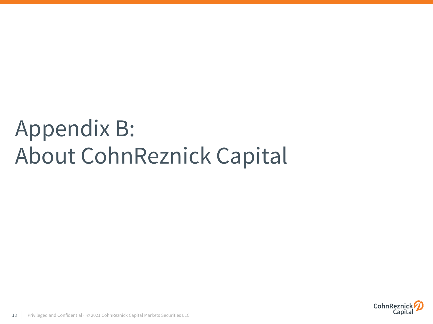# Appendix B: About CohnReznick Capital

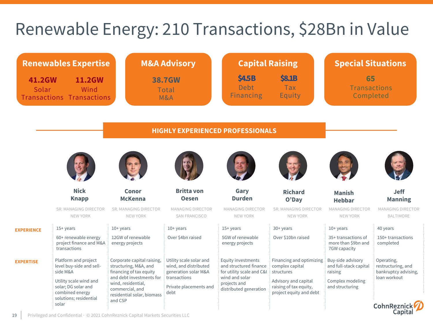### Renewable Energy: 210 Transactions, \$28Bn in Value

| <b>Renewables Expertise</b>                                                         |                                                                                            |                                                                                                            | <b>M&amp;A Advisory</b>                                                  | <b>Capital Raising</b>                                                    |                                                                                           | <b>Special Situations</b>                                  |                                                          |  |
|-------------------------------------------------------------------------------------|--------------------------------------------------------------------------------------------|------------------------------------------------------------------------------------------------------------|--------------------------------------------------------------------------|---------------------------------------------------------------------------|-------------------------------------------------------------------------------------------|------------------------------------------------------------|----------------------------------------------------------|--|
| <b>41.2GW</b><br><b>11.2GW</b><br>Solar<br>Wind<br><b>Transactions Transactions</b> |                                                                                            |                                                                                                            | <b>38.7GW</b><br><b>Total</b><br>M&A                                     |                                                                           | <b>\$4.5B</b><br><b>\$8.1B</b><br><b>Debt</b><br><b>Tax</b><br><b>Financing</b><br>Equity |                                                            | 65<br><b>Transactions</b><br>Completed                   |  |
|                                                                                     |                                                                                            |                                                                                                            | <b>HIGHLY EXPERIENCED PROFESSIONALS</b>                                  |                                                                           |                                                                                           |                                                            |                                                          |  |
|                                                                                     |                                                                                            |                                                                                                            |                                                                          |                                                                           |                                                                                           |                                                            |                                                          |  |
|                                                                                     | <b>Nick</b><br><b>Knapp</b>                                                                | <b>Conor</b><br><b>McKenna</b>                                                                             | <b>Britta von</b><br><b>Oesen</b>                                        | Gary<br><b>Durden</b>                                                     | <b>Richard</b><br>O'Day                                                                   | <b>Manish</b><br><b>Hebbar</b>                             | <b>Jeff</b><br><b>Manning</b>                            |  |
|                                                                                     | SR. MANAGING DIRECTOR<br>NEW YORK                                                          | SR. MANAGING DIRECTOR<br>NEW YORK                                                                          | <b>MANAGING DIRECTOR</b><br>SAN FRANCISCO                                | <b>MANAGING DIRECTOR</b><br>NEW YORK                                      | SR. MANAGING DIRECTOR<br>NEW YORK                                                         | <b>MANAGING DIRECTOR</b><br>NEW YORK                       | <b>MANAGING DIRECTOR</b><br><b>BALTIMORE</b>             |  |
| <b>EXPERIENCE</b>                                                                   | $15+years$                                                                                 | $10+$ years                                                                                                | $10+$ years                                                              | $15+$ years                                                               | $30+$ years                                                                               | $10+$ years                                                | 40 years                                                 |  |
|                                                                                     | 60+ renewable energy<br>project finance and M&A<br>transactions                            | 12GW of renewable<br>energy projects                                                                       | Over \$4bn raised                                                        | 5GW of renewable<br>energy projects                                       | Over \$10bn raised                                                                        | 35+ transactions of<br>more than \$9bn and<br>7GW capacity | 150+ transactions<br>completed                           |  |
| <b>EXPERTISE</b>                                                                    | Platform and project<br>level buy-side and sell-<br>side M&A                               | Corporate capital raising,<br>structuring, M&A, and<br>financing of tax equity                             | Utility scale solar and<br>wind, and distributed<br>generation solar M&A | Equity investments<br>and structured finance<br>for utility scale and C&I | Financing and optimizing<br>complex capital<br>structures                                 | Buy-side advisory<br>and full-stack capital<br>raising     | Operating,<br>restructuring, and<br>bankruptcy advising, |  |
|                                                                                     | Utility scale wind and<br>solar; DG solar and<br>combined energy<br>solutions; residential | and debt investments for<br>wind, residential,<br>commercial, and<br>residential solar, biomass<br>and CSP | transactions<br>Private placements and<br>debt                           | wind and solar<br>projects and<br>distributed generation                  | Advisory and capital<br>raising of tax equity,<br>project equity and debt                 | Complex modeling<br>and structuring                        | loan workout                                             |  |
|                                                                                     | solar                                                                                      |                                                                                                            |                                                                          |                                                                           |                                                                                           |                                                            | CohnReznick<br>Capital                                   |  |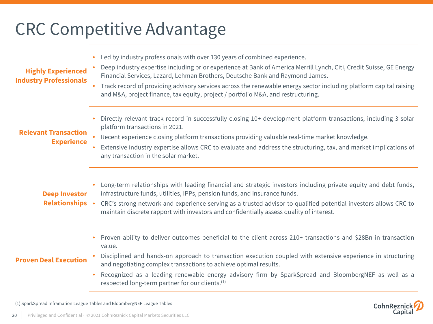### CRC Competitive Advantage

• Led by industry professionals with over 130 years of combined experience.

#### **Highly Experienced Industry Professionals**

- Deep industry expertise including prior experience at Bank of America Merrill Lynch, Citi, Credit Suisse, GE Energy Financial Services, Lazard, Lehman Brothers, Deutsche Bank and Raymond James.
- Track record of providing advisory services across the renewable energy sector including platform capital raising and M&A, project finance, tax equity, project / portfolio M&A, and restructuring.
- Directly relevant track record in successfully closing 10+ development platform transactions, including 3 solar platform transactions in 2021.

#### **Relevant Transaction Experience**

- Recent experience closing platform transactions providing valuable real-time market knowledge.
- Extensive industry expertise allows CRC to evaluate and address the structuring, tax, and market implications of any transaction in the solar market.

### **Deep Investor Relationships**

- Long-term relationships with leading financial and strategic investors including private equity and debt funds, infrastructure funds, utilities, IPPs, pension funds, and insurance funds.
- CRC's strong network and experience serving as a trusted advisor to qualified potential investors allows CRC to maintain discrete rapport with investors and confidentially assess quality of interest.
	- Proven ability to deliver outcomes beneficial to the client across 210+ transactions and \$28Bn in transaction value.

### **Proven Deal Execution**

- Disciplined and hands-on approach to transaction execution coupled with extensive experience in structuring and negotiating complex transactions to achieve optimal results.
- Recognized as a leading renewable energy advisory firm by SparkSpread and BloombergNEF as well as a respected long-term partner for our clients.<sup>(1)</sup>

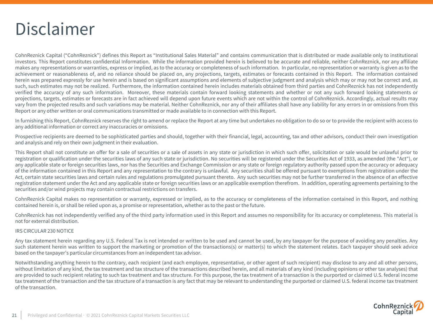

CohnReznick Capital ("CohnReznick") defines this Report as "Institutional Sales Material" and contains communication that is distributed or made available only to institutional investors. This Report constitutes confidential Information. While the information provided herein is believed to be accurate and reliable, neither CohnReznick, nor any affiliate makes any representations or warranties, express or implied, as to the accuracy or completeness of such information. In particular, no representation or warranty is given as to the achievement or reasonableness of, and no reliance should be placed on, any projections, targets, estimates or forecasts contained in this Report. The information contained herein was prepared expressly for use herein and is based on significant assumptions and elements of subjective judgment and analysis which may or may not be correct and, as such, such estimates may not be realized. Furthermore, the information contained herein includes materials obtained from third parties and CohnReznick has not independently verified the accuracy of any such information. Moreover, these materials contain forward looking statements and whether or not any such forward looking statements or projections, targets, estimates or forecasts are in fact achieved will depend upon future events which are not within the control of CohnReznick. Accordingly, actual results may vary from the projected results and such variations may be material. Neither CohnReznick, nor any of their affiliates shall have any liability for any errors in or omissions from this Report or any other written or oral communications transmitted or made available to in connection with this Report.

In furnishing this Report, CohnReznick reserves the right to amend or replace the Report at any time but undertakes no obligation to do so or to provide the recipient with access to any additional information or correct any inaccuracies or omissions.

Prospective recipients are deemed to be sophisticated parties and should, together with their financial, legal, accounting, tax and other advisors, conduct their own investigation and analysis and rely on their own judgment in their evaluation.

This Report shall not constitute an offer for a sale of securities or a sale of assets in any state or jurisdiction in which such offer, solicitation or sale would be unlawful prior to registration or qualification under the securities laws of any such state or jurisdiction. No securities will be registered under the Securities Act of 1933, as amended (the "Act"), or any applicable state or foreign securities laws, nor has the Securities and Exchange Commission or any state or foreign regulatory authority passed upon the accuracy or adequacy of the information contained in this Report and any representation to the contrary is unlawful. Any securities shall be offered pursuant to exemptions from registration under the Act, certain state securities laws and certain rules and regulations promulgated pursuant thereto. Any such securities may not be further transferred in the absence of an effective registration statement under the Act and any applicable state or foreign securities laws or an applicable exemption therefrom. In addition, operating agreements pertaining to the securities and/or wind projects may contain contractual restrictions on transfers.

CohnReznick Capital makes no representation or warranty, expressed or implied, as to the accuracy or completeness of the information contained in this Report, and nothing contained herein is, or shall be relied upon as, a promise or representation, whether as to the past or the future.

CohnReznick has not independently verified any of the third party information used in this Report and assumes no responsibility for its accuracy or completeness. This material is not for external distribution.

#### IRS CIRCULAR 230 NOTICE

Any tax statement herein regarding any U.S. Federal Tax is not intended or written to be used and cannot be used, by any taxpayer for the purpose of avoiding any penalties. Any such statement herein was written to support the marketing or promotion of the transactions(s) or matter(s) to which the statement relates. Each taxpayer should seek advice based on the taxpayer's particular circumstances from an independent tax advisor.

Notwithstanding anything herein to the contrary, each recipient (and each employee, representative, or other agent of such recipient) may disclose to any and all other persons, without limitation of any kind, the tax treatment and tax structure of the transactions described herein, and all materials of any kind (including opinions or other tax analyses) that are provided to such recipient relating to such tax treatment and tax structure. For this purpose, the tax treatment of a transaction is the purported or claimed U.S. federal income tax treatment of the transaction and the tax structure of a transaction is any fact that may be relevant to understanding the purported or claimed U.S. federal income tax treatment of the transaction.

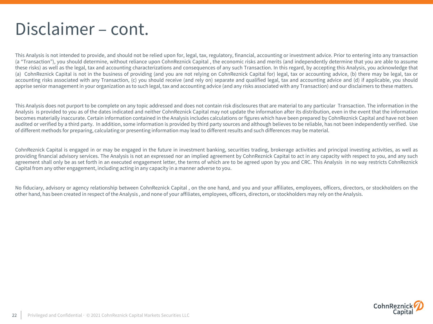### Disclaimer – cont.

This Analysis is not intended to provide, and should not be relied upon for, legal, tax, regulatory, financial, accounting or investment advice. Prior to entering into any transaction (a "Transaction"), you should determine, without reliance upon CohnReznick Capital , the economic risks and merits (and independently determine that you are able to assume these risks) as well as the legal, tax and accounting characterizations and consequences of any such Transaction. In this regard, by accepting this Analysis, you acknowledge that (a) CohnReznick Capital is not in the business of providing (and you are not relying on CohnReznick Capital for) legal, tax or accounting advice, (b) there may be legal, tax or accounting risks associated with any Transaction, (c) you should receive (and rely on) separate and qualified legal, tax and accounting advice and (d) if applicable, you should apprise senior management in your organization as to such legal, tax and accounting advice (and any risks associated with any Transaction) and our disclaimers to these matters.

This Analysis does not purport to be complete on any topic addressed and does not contain risk disclosures that are material to any particular Transaction. The information in the Analysis is provided to you as of the dates indicated and neither CohnReznick Capital may not update the information after its distribution, even in the event that the information becomes materially inaccurate. Certain information contained in the Analysis includes calculations or figures which have been prepared by CohnReznick Capital and have not been audited or verified by a third party. In addition, some information is provided by third party sources and although believes to be reliable, has not been independently verified. Use of different methods for preparing, calculating or presenting information may lead to different results and such differences may be material.

CohnReznick Capital is engaged in or may be engaged in the future in investment banking, securities trading, brokerage activities and principal investing activities, as well as providing financial advisory services. The Analysis is not an expressed nor an implied agreement by CohnReznick Capital to act in any capacity with respect to you, and any such agreement shall only be as set forth in an executed engagement letter, the terms of which are to be agreed upon by you and CRC. This Analysis in no way restricts CohnReznick Capital from any other engagement, including acting in any capacity in a manner adverse to you.

No fiduciary, advisory or agency relationship between CohnReznick Capital, on the one hand, and you and your affiliates, employees, officers, directors, or stockholders on the other hand, has been created in respect of the Analysis , and none of your affiliates, employees, officers, directors, or stockholders may rely on the Analysis.